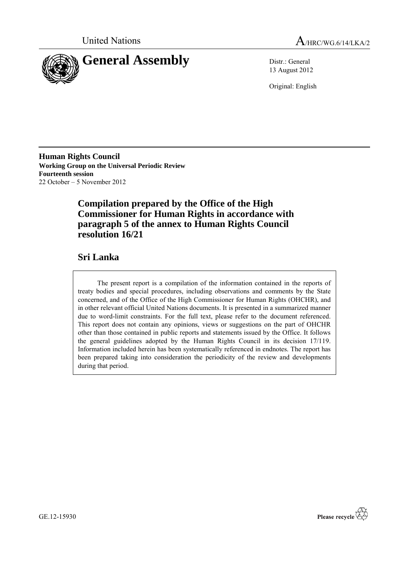



13 August 2012

Original: English

**Human Rights Council Working Group on the Universal Periodic Review Fourteenth session** 22 October – 5 November 2012

## **Compilation prepared by the Office of the High Commissioner for Human Rights in accordance with paragraph 5 of the annex to Human Rights Council resolution 16/21**

## **Sri Lanka**

The present report is a compilation of the information contained in the reports of treaty bodies and special procedures, including observations and comments by the State concerned, and of the Office of the High Commissioner for Human Rights (OHCHR), and in other relevant official United Nations documents. It is presented in a summarized manner due to word-limit constraints. For the full text, please refer to the document referenced. This report does not contain any opinions, views or suggestions on the part of OHCHR other than those contained in public reports and statements issued by the Office. It follows the general guidelines adopted by the Human Rights Council in its decision 17/119. Information included herein has been systematically referenced in endnotes. The report has been prepared taking into consideration the periodicity of the review and developments during that period.



GE.12-15930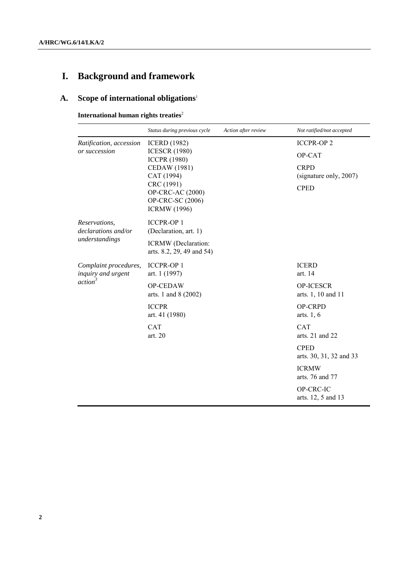# **I. Background and framework**

## **A. Scope of international obligations**<sup>1</sup>

**International human rights treaties**<sup>2</sup>

|                                                                    | Status during previous cycle                                                                                                                                                  | Action after review | Not ratified/not accepted                                                                                    |
|--------------------------------------------------------------------|-------------------------------------------------------------------------------------------------------------------------------------------------------------------------------|---------------------|--------------------------------------------------------------------------------------------------------------|
| Ratification, accession<br>or succession                           | <b>ICERD</b> (1982)<br><b>ICESCR (1980)</b><br><b>ICCPR (1980)</b><br>CEDAW (1981)<br>CAT (1994)<br>CRC (1991)<br>OP-CRC-AC (2000)<br>OP-CRC-SC (2006)<br><b>ICRMW</b> (1996) |                     | <b>ICCPR-OP2</b><br>OP-CAT<br><b>CRPD</b><br>(signature only, 2007)<br><b>CPED</b>                           |
| Reservations,<br>declarations and/or<br>understandings             | <b>ICCPR-OP 1</b><br>(Declaration, art. 1)<br>ICRMW (Declaration:<br>arts. 8.2, 29, 49 and 54)                                                                                |                     |                                                                                                              |
| Complaint procedures,<br>inquiry and urgent<br>action <sup>3</sup> | <b>ICCPR-OP1</b><br>art. 1 (1997)<br>OP-CEDAW<br>arts. 1 and 8 (2002)                                                                                                         |                     | <b>ICERD</b><br>art. 14<br><b>OP-ICESCR</b><br>arts. 1, 10 and 11                                            |
|                                                                    | <b>ICCPR</b><br>art. 41 (1980)<br><b>CAT</b><br>art. 20                                                                                                                       |                     | <b>OP-CRPD</b><br>arts. $1, 6$<br><b>CAT</b><br>arts. $21$ and $22$                                          |
|                                                                    |                                                                                                                                                                               |                     | <b>CPED</b><br>arts. 30, 31, 32 and 33<br><b>ICRMW</b><br>arts. 76 and 77<br>OP-CRC-IC<br>arts. 12, 5 and 13 |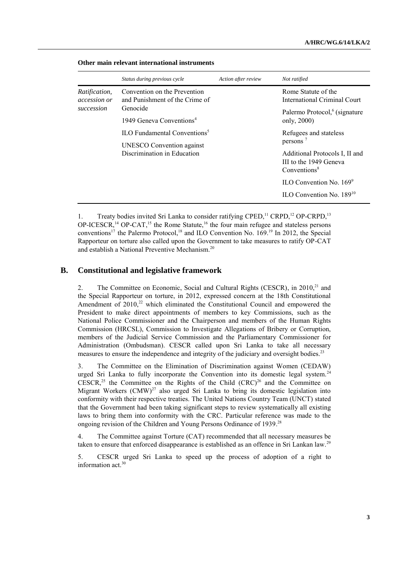|                                                    | Status during previous cycle                                          | Action after review | Not ratified                                                                         |
|----------------------------------------------------|-----------------------------------------------------------------------|---------------------|--------------------------------------------------------------------------------------|
| <i>Ratification,</i><br>accession or<br>succession | Convention on the Prevention<br>and Punishment of the Crime of        |                     | Rome Statute of the<br><b>International Criminal Court</b>                           |
|                                                    | Genocide<br>1949 Geneva Conventions <sup>4</sup>                      |                     | Palermo Protocol, <sup>6</sup> (signature<br>only, $2000$ )                          |
|                                                    | ILO Fundamental Conventions <sup>5</sup><br>UNESCO Convention against |                     | Refugees and stateless<br>persons $7$                                                |
|                                                    | Discrimination in Education                                           |                     | Additional Protocols I, II and<br>III to the 1949 Geneva<br>Conventions <sup>8</sup> |
|                                                    |                                                                       |                     | ILO Convention No. $169^9$<br>ILO Convention No. 189 <sup>10</sup>                   |

#### **Other main relevant international instruments**

1. Treaty bodies invited Sri Lanka to consider ratifying CPED.<sup>11</sup> CRPD.<sup>12</sup> OP-CRPD.<sup>13</sup> OP-ICESCR,<sup>14</sup> OP-CAT,<sup>15</sup> the Rome Statute,<sup>16</sup> the four main refugee and stateless persons conventions<sup>17</sup> the Palermo Protocol,<sup>18</sup> and ILO Convention No. 169.<sup>19</sup> In 2012, the Special Rapporteur on torture also called upon the Government to take measures to ratify OP-CAT and establish a National Preventive Mechanism.<sup>20</sup>

#### **B. Constitutional and legislative framework**

2. The Committee on Economic, Social and Cultural Rights (CESCR), in 2010,<sup>21</sup> and the Special Rapporteur on torture, in 2012, expressed concern at the 18th Constitutional Amendment of  $2010$ ,<sup>22</sup> which eliminated the Constitutional Council and empowered the President to make direct appointments of members to key Commissions, such as the National Police Commissioner and the Chairperson and members of the Human Rights Commission (HRCSL), Commission to Investigate Allegations of Bribery or Corruption, members of the Judicial Service Commission and the Parliamentary Commissioner for Administration (Ombudsman). CESCR called upon Sri Lanka to take all necessary measures to ensure the independence and integrity of the judiciary and oversight bodies.<sup>23</sup>

3. The Committee on the Elimination of Discrimination against Women (CEDAW) urged Sri Lanka to fully incorporate the Convention into its domestic legal system.<sup>24</sup> CESCR,<sup>25</sup> the Committee on the Rights of the Child  $(CRC)^{26}$  and the Committee on Migrant Workers (CMW)<sup>27</sup> also urged Sri Lanka to bring its domestic legislation into conformity with their respective treaties. The United Nations Country Team (UNCT) stated that the Government had been taking significant steps to review systematically all existing laws to bring them into conformity with the CRC. Particular reference was made to the ongoing revision of the Children and Young Persons Ordinance of 1939.<sup>28</sup>

4. The Committee against Torture (CAT) recommended that all necessary measures be taken to ensure that enforced disappearance is established as an offence in Sri Lankan law.<sup>29</sup>

5. CESCR urged Sri Lanka to speed up the process of adoption of a right to information act.<sup>30</sup>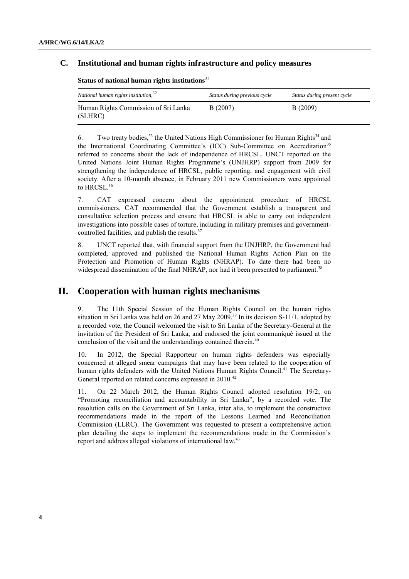#### **C. Institutional and human rights infrastructure and policy measures**

| National human rights institution, <sup>32</sup> | Status during previous cycle | Status during present cycle |
|--------------------------------------------------|------------------------------|-----------------------------|
| Human Rights Commission of Sri Lanka<br>(SLHRC)  | B(2007)                      | B(2009)                     |

**Status of national human rights institutions**<sup>31</sup>

6. Two treaty bodies,<sup>33</sup> the United Nations High Commissioner for Human Rights<sup>34</sup> and the International Coordinating Committee's (ICC) Sub-Committee on Accreditation<sup>35</sup> referred to concerns about the lack of independence of HRCSL. UNCT reported on the United Nations Joint Human Rights Programme's (UNJHRP) support from 2009 for strengthening the independence of HRCSL, public reporting, and engagement with civil society. After a 10-month absence, in February 2011 new Commissioners were appointed to HRCSL.<sup>36</sup>

7. CAT expressed concern about the appointment procedure of HRCSL commissioners. CAT recommended that the Government establish a transparent and consultative selection process and ensure that HRCSL is able to carry out independent investigations into possible cases of torture, including in military premises and governmentcontrolled facilities, and publish the results.<sup>37</sup>

8. UNCT reported that, with financial support from the UNJHRP, the Government had completed, approved and published the National Human Rights Action Plan on the Protection and Promotion of Human Rights (NHRAP). To date there had been no widespread dissemination of the final NHRAP, nor had it been presented to parliament.<sup>3</sup>

### **II. Cooperation with human rights mechanisms**

9. The 11th Special Session of the Human Rights Council on the human rights situation in Sri Lanka was held on 26 and 27 May 2009.<sup>39</sup> In its decision S-11/1, adopted by a recorded vote, the Council welcomed the visit to Sri Lanka of the Secretary-General at the invitation of the President of Sri Lanka, and endorsed the joint communiqué issued at the conclusion of the visit and the understandings contained therein.<sup>40</sup>

10. In 2012, the Special Rapporteur on human rights defenders was especially concerned at alleged smear campaigns that may have been related to the cooperation of human rights defenders with the United Nations Human Rights Council.<sup>41</sup> The Secretary-General reported on related concerns expressed in 2010.<sup>42</sup>

11. On 22 March 2012, the Human Rights Council adopted resolution 19/2, on "Promoting reconciliation and accountability in Sri Lanka", by a recorded vote. The resolution calls on the Government of Sri Lanka, inter alia, to implement the constructive recommendations made in the report of the Lessons Learned and Reconciliation Commission (LLRC). The Government was requested to present a comprehensive action plan detailing the steps to implement the recommendations made in the Commission's report and address alleged violations of international law.<sup>43</sup>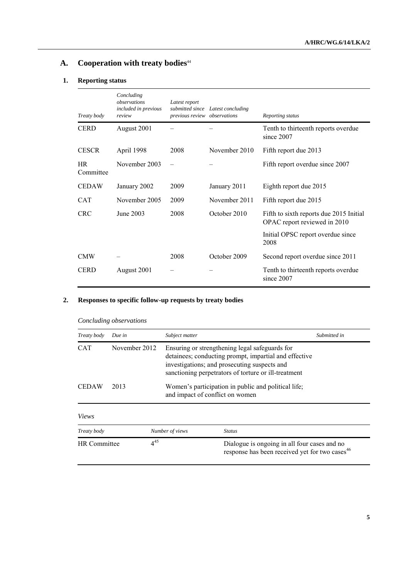## **A. Cooperation with treaty bodies**<sup>44</sup>

#### **1. Reporting status**

| Treaty body            | Concluding<br>observations<br>included in previous<br>review | Latest report<br>previous review observations | submitted since Latest concluding | Reporting status                                                        |
|------------------------|--------------------------------------------------------------|-----------------------------------------------|-----------------------------------|-------------------------------------------------------------------------|
| <b>CERD</b>            | August 2001                                                  |                                               |                                   | Tenth to thirteenth reports overdue<br>since 2007                       |
| <b>CESCR</b>           | April 1998                                                   | 2008                                          | November 2010                     | Fifth report due 2013                                                   |
| <b>HR</b><br>Committee | November 2003                                                | $\overline{\phantom{0}}$                      |                                   | Fifth report overdue since 2007                                         |
| <b>CEDAW</b>           | January 2002                                                 | 2009                                          | January 2011                      | Eighth report due 2015                                                  |
| <b>CAT</b>             | November 2005                                                | 2009                                          | November 2011                     | Fifth report due 2015                                                   |
| <b>CRC</b>             | June 2003                                                    | 2008                                          | October 2010                      | Fifth to sixth reports due 2015 Initial<br>OPAC report reviewed in 2010 |
|                        |                                                              |                                               |                                   | Initial OPSC report overdue since<br>2008                               |
| <b>CMW</b>             |                                                              | 2008                                          | October 2009                      | Second report overdue since 2011                                        |
| <b>CERD</b>            | August 2001                                                  |                                               |                                   | Tenth to thirteenth reports overdue<br>since 2007                       |

### **2. Responses to specific follow-up requests by treaty bodies**

| Treaty body         | Due in        | Subject matter                                                                                                                                                                                                  |                                                                                                            | Submitted in |
|---------------------|---------------|-----------------------------------------------------------------------------------------------------------------------------------------------------------------------------------------------------------------|------------------------------------------------------------------------------------------------------------|--------------|
| <b>CAT</b>          | November 2012 | Ensuring or strengthening legal safeguards for<br>detainees; conducting prompt, impartial and effective<br>investigations; and prosecuting suspects and<br>sanctioning perpetrators of torture or ill-treatment |                                                                                                            |              |
| <b>CEDAW</b>        | 2013          | Women's participation in public and political life;<br>and impact of conflict on women                                                                                                                          |                                                                                                            |              |
| Views               |               |                                                                                                                                                                                                                 |                                                                                                            |              |
| Treaty body         |               | Number of views                                                                                                                                                                                                 | <b>Status</b>                                                                                              |              |
| <b>HR</b> Committee | $4^{45}$      |                                                                                                                                                                                                                 | Dialogue is ongoing in all four cases and no<br>response has been received yet for two cases <sup>46</sup> |              |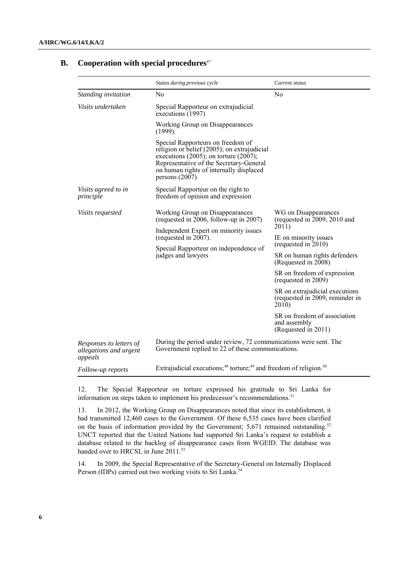|                                                              | Status during previous cycle                                                                                                                                                                                                              | Current status                                                             |
|--------------------------------------------------------------|-------------------------------------------------------------------------------------------------------------------------------------------------------------------------------------------------------------------------------------------|----------------------------------------------------------------------------|
| Standing invitation                                          | N <sub>o</sub>                                                                                                                                                                                                                            | N <sub>0</sub>                                                             |
| Visits undertaken                                            | Special Rapporteur on extrajudicial<br>executions (1997)                                                                                                                                                                                  |                                                                            |
|                                                              | Working Group on Disappearances<br>$(1999)$ .                                                                                                                                                                                             |                                                                            |
|                                                              | Special Rapporteurs on freedom of<br>religion or belief (2005); on extrajudicial<br>executions $(2005)$ ; on torture $(2007)$ ;<br>Representative of the Secretary-General<br>on human rights of internally displaced<br>persons $(2007)$ |                                                                            |
| Visits agreed to in<br>principle                             | Special Rapporteur on the right to<br>freedom of opinion and expression                                                                                                                                                                   |                                                                            |
| <i>Visits requested</i>                                      | Working Group on Disappearances<br>(requested in 2006, follow-up in 2007)                                                                                                                                                                 | WG on Disappearances<br>(requested in 2009, 2010 and<br>2011)              |
|                                                              | Independent Expert on minority issues<br>(requested in 2007).                                                                                                                                                                             | IE on minority issues<br>(requested in 2010)                               |
|                                                              | Special Rapporteur on independence of<br>judges and lawyers                                                                                                                                                                               |                                                                            |
|                                                              |                                                                                                                                                                                                                                           | SR on human rights defenders<br>(Requested in 2008)                        |
|                                                              |                                                                                                                                                                                                                                           | SR on freedom of expression<br>(requested in 2009)                         |
|                                                              |                                                                                                                                                                                                                                           | SR on extrajudicial executions<br>(requested in 2009, reminder in<br>2010) |
|                                                              |                                                                                                                                                                                                                                           | SR on freedom of association<br>and assembly<br>(Requested in 2011)        |
| Responses to letters of<br>allegations and urgent<br>appeals | During the period under review, 72 communications were sent. The<br>Government replied to 22 of these communications.                                                                                                                     |                                                                            |
| Follow-up reports                                            | Extrajudicial executions; <sup>48</sup> torture; <sup>49</sup> and freedom of religion. <sup>50</sup>                                                                                                                                     |                                                                            |

#### **B. Cooperation with special procedures**<sup>47</sup>

12. The Special Rapporteur on torture expressed his gratitude to Sri Lanka for information on steps taken to implement his predecessor's recommendations.<sup>51</sup>

13. In 2012, the Working Group on Disappearances noted that since its establishment, it had transmitted 12,460 cases to the Government. Of these 6,535 cases have been clarified on the basis of information provided by the Government;  $5,671$  remained outstanding.<sup>52</sup> UNCT reported that the United Nations had supported Sri Lanka's request to establish a database related to the backlog of disappearance cases from WGEID. The database was handed over to HRCSL in June 2011.<sup>53</sup>

14. In 2009, the Special Representative of the Secretary-General on Internally Displaced Person (IDPs) carried out two working visits to Sri Lanka.<sup>54</sup>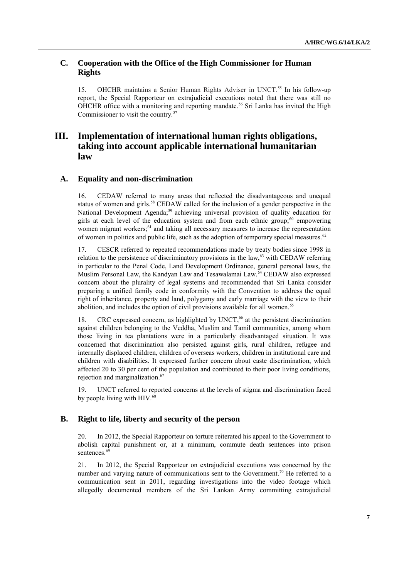#### **C. Cooperation with the Office of the High Commissioner for Human Rights**

15. OHCHR maintains a Senior Human Rights Adviser in UNCT. <sup>55</sup> In his follow-up report, the Special Rapporteur on extrajudicial executions noted that there was still no OHCHR office with a monitoring and reporting mandate.<sup>56</sup> Sri Lanka has invited the High Commissioner to visit the country.<sup>57</sup>

## **III. Implementation of international human rights obligations, taking into account applicable international humanitarian law**

#### **A. Equality and non-discrimination**

16. CEDAW referred to many areas that reflected the disadvantageous and unequal status of women and girls.<sup>58</sup> CEDAW called for the inclusion of a gender perspective in the National Development Agenda;<sup>59</sup> achieving universal provision of quality education for girls at each level of the education system and from each ethnic group; $60$  empowering women migrant workers;<sup>61</sup> and taking all necessary measures to increase the representation of women in politics and public life, such as the adoption of temporary special measures. $62$ 

17. CESCR referred to repeated recommendations made by treaty bodies since 1998 in relation to the persistence of discriminatory provisions in the  $law<sub>63</sub>$  with CEDAW referring in particular to the Penal Code, Land Development Ordinance, general personal laws, the Muslim Personal Law, the Kandyan Law and Tesawalamai Law.<sup>64</sup> CEDAW also expressed concern about the plurality of legal systems and recommended that Sri Lanka consider preparing a unified family code in conformity with the Convention to address the equal right of inheritance, property and land, polygamy and early marriage with the view to their abolition, and includes the option of civil provisions available for all women.<sup>65</sup>

18. CRC expressed concern, as highlighted by UNCT,<sup>66</sup> at the persistent discrimination against children belonging to the Veddha, Muslim and Tamil communities, among whom those living in tea plantations were in a particularly disadvantaged situation. It was concerned that discrimination also persisted against girls, rural children, refugee and internally displaced children, children of overseas workers, children in institutional care and children with disabilities. It expressed further concern about caste discrimination, which affected 20 to 30 per cent of the population and contributed to their poor living conditions, rejection and marginalization. 67

19. UNCT referred to reported concerns at the levels of stigma and discrimination faced by people living with HIV.<sup>68</sup>

#### **B. Right to life, liberty and security of the person**

20. In 2012, the Special Rapporteur on torture reiterated his appeal to the Government to abolish capital punishment or, at a minimum, commute death sentences into prison sentences.<sup>69</sup>

21. In 2012, the Special Rapporteur on extrajudicial executions was concerned by the number and varying nature of communications sent to the Government.<sup>70</sup> He referred to a communication sent in 2011, regarding investigations into the video footage which allegedly documented members of the Sri Lankan Army committing extrajudicial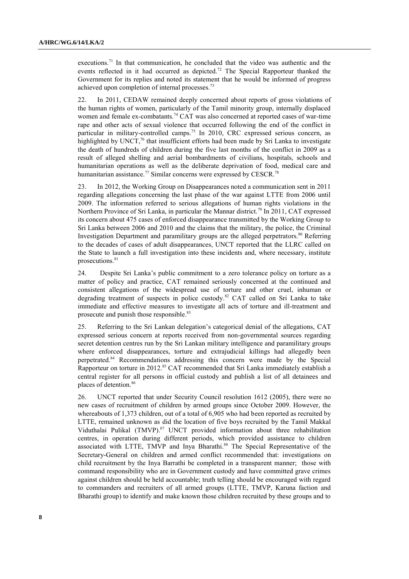executions.<sup>71</sup> In that communication, he concluded that the video was authentic and the events reflected in it had occurred as depicted.<sup>72</sup> The Special Rapporteur thanked the Government for its replies and noted its statement that he would be informed of progress achieved upon completion of internal processes.<sup>73</sup>

22. In 2011, CEDAW remained deeply concerned about reports of gross violations of the human rights of women, particularly of the Tamil minority group, internally displaced women and female ex-combatants.<sup>74</sup> CAT was also concerned at reported cases of war-time rape and other acts of sexual violence that occurred following the end of the conflict in particular in military-controlled camps.<sup>75</sup> In 2010, CRC expressed serious concern, as highlighted by UNCT,<sup>76</sup> that insufficient efforts had been made by Sri Lanka to investigate the death of hundreds of children during the five last months of the conflict in 2009 as a result of alleged shelling and aerial bombardments of civilians, hospitals, schools and humanitarian operations as well as the deliberate deprivation of food, medical care and humanitarian assistance.<sup>77</sup> Similar concerns were expressed by CESCR.<sup>78</sup>

23. In 2012, the Working Group on Disappearances noted a communication sent in 2011 regarding allegations concerning the last phase of the war against LTTE from 2006 until 2009. The information referred to serious allegations of human rights violations in the Northern Province of Sri Lanka, in particular the Mannar district.<sup>79</sup> In 2011, CAT expressed its concern about 475 cases of enforced disappearance transmitted by the Working Group to Sri Lanka between 2006 and 2010 and the claims that the military, the police, the Criminal Investigation Department and paramilitary groups are the alleged perpetrators.<sup>80</sup> Referring to the decades of cases of adult disappearances, UNCT reported that the LLRC called on the State to launch a full investigation into these incidents and, where necessary, institute prosecutions.<sup>81</sup>

24. Despite Sri Lanka's public commitment to a zero tolerance policy on torture as a matter of policy and practice, CAT remained seriously concerned at the continued and consistent allegations of the widespread use of torture and other cruel, inhuman or degrading treatment of suspects in police custody. <sup>82</sup> CAT called on Sri Lanka to take immediate and effective measures to investigate all acts of torture and ill-treatment and prosecute and punish those responsible.<sup>83</sup>

25. Referring to the Sri Lankan delegation's categorical denial of the allegations, CAT expressed serious concern at reports received from non-governmental sources regarding secret detention centres run by the Sri Lankan military intelligence and paramilitary groups where enforced disappearances, torture and extrajudicial killings had allegedly been perpetrated.<sup>84</sup> Recommendations addressing this concern were made by the Special Rapporteur on torture in 2012.<sup>85</sup> CAT recommended that Sri Lanka immediately establish a central register for all persons in official custody and publish a list of all detainees and places of detention.<sup>86</sup>

26. UNCT reported that under Security Council resolution 1612 (2005), there were no new cases of recruitment of children by armed groups since October 2009. However, the whereabouts of 1,373 children, out of a total of 6,905 who had been reported as recruited by LTTE, remained unknown as did the location of five boys recruited by the Tamil Makkal Viduthalai Pulikal (TMVP).<sup>87</sup> UNCT provided information about three rehabilitation centres, in operation during different periods, which provided assistance to children associated with LTTE, TMVP and Inya Bharathi.<sup>88</sup> The Special Representative of the Secretary-General on children and armed conflict recommended that: investigations on child recruitment by the Inya Barrathi be completed in a transparent manner; those with command responsibility who are in Government custody and have committed grave crimes against children should be held accountable; truth telling should be encouraged with regard to commanders and recruiters of all armed groups (LTTE, TMVP, Karuna faction and Bharathi group) to identify and make known those children recruited by these groups and to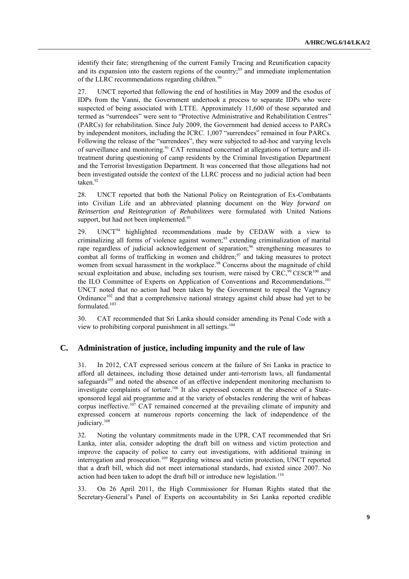identify their fate; strengthening of the current Family Tracing and Reunification capacity and its expansion into the eastern regions of the country; <sup>89</sup> and immediate implementation of the LLRC recommendations regarding children.<sup>90</sup>

27. UNCT reported that following the end of hostilities in May 2009 and the exodus of IDPs from the Vanni, the Government undertook a process to separate IDPs who were suspected of being associated with LTTE. Approximately 11,600 of those separated and termed as "surrendees" were sent to "Protective Administrative and Rehabilitation Centres" (PARCs) for rehabilitation. Since July 2009, the Government had denied access to PARCs by independent monitors, including the ICRC. 1,007 "surrendees" remained in four PARCs. Following the release of the "surrendees", they were subjected to ad-hoc and varying levels of surveillance and monitoring.<sup>91</sup> CAT remained concerned at allegations of torture and illtreatment during questioning of camp residents by the Criminal Investigation Department and the Terrorist Investigation Department. It was concerned that those allegations had not been investigated outside the context of the LLRC process and no judicial action had been taken.<sup>92</sup>

28. UNCT reported that both the National Policy on Reintegration of Ex-Combatants into Civilian Life and an abbreviated planning document on the *Way forward on Reinsertion and Reintegration of Rehabilitees* were formulated with United Nations support, but had not been implemented.<sup>93</sup>

29. UNCT<sup>94</sup> highlighted recommendations made by CEDAW with a view to criminalizing all forms of violence against women;<sup>95</sup> extending criminalization of marital rape regardless of judicial acknowledgement of separation;<sup>96</sup> strengthening measures to combat all forms of trafficking in women and children; $97$  and taking measures to protect women from sexual harassment in the workplace.<sup>98</sup> Concerns about the magnitude of child sexual exploitation and abuse, including sex tourism, were raised by  $CRC$ ,  $99$  CESCR<sup>100</sup> and the ILO Committee of Experts on Application of Conventions and Recommendations.<sup>101</sup> UNCT noted that no action had been taken by the Government to repeal the Vagrancy Ordinance<sup>102</sup> and that a comprehensive national strategy against child abuse had yet to be formulated. 103

30. CAT recommended that Sri Lanka should consider amending its Penal Code with a view to prohibiting corporal punishment in all settings. 104

#### **C. Administration of justice, including impunity and the rule of law**

31. In 2012, CAT expressed serious concern at the failure of Sri Lanka in practice to afford all detainees, including those detained under anti-terrorism laws, all fundamental safeguards $105$  and noted the absence of an effective independent monitoring mechanism to investigate complaints of torture.<sup>106</sup> It also expressed concern at the absence of a Statesponsored legal aid programme and at the variety of obstacles rendering the writ of habeas corpus ineffective.<sup>107</sup> CAT remained concerned at the prevailing climate of impunity and expressed concern at numerous reports concerning the lack of independence of the judiciary. 108

32. Noting the voluntary commitments made in the UPR, CAT recommended that Sri Lanka, inter alia, consider adopting the draft bill on witness and victim protection and improve the capacity of police to carry out investigations, with additional training in interrogation and prosecution.<sup>109</sup> Regarding witness and victim protection, UNCT reported that a draft bill, which did not meet international standards, had existed since 2007. No action had been taken to adopt the draft bill or introduce new legislation.<sup>110</sup>

33. On 26 April 2011, the High Commissioner for Human Rights stated that the Secretary-General's Panel of Experts on accountability in Sri Lanka reported credible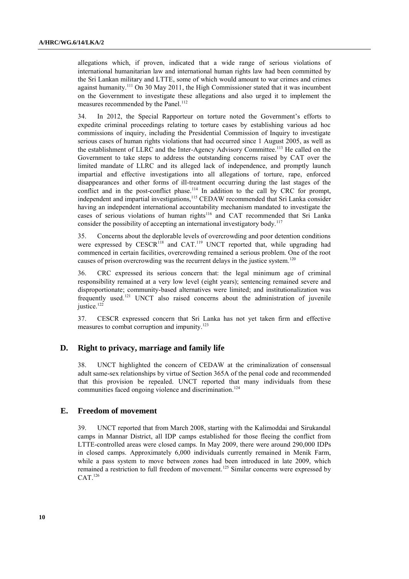allegations which, if proven, indicated that a wide range of serious violations of international humanitarian law and international human rights law had been committed by the Sri Lankan military and LTTE, some of which would amount to war crimes and crimes against humanity.<sup>111</sup> On 30 May 2011, the High Commissioner stated that it was incumbent on the Government to investigate these allegations and also urged it to implement the measures recommended by the Panel.<sup>112</sup>

34. In 2012, the Special Rapporteur on torture noted the Government's efforts to expedite criminal proceedings relating to torture cases by establishing various ad hoc commissions of inquiry, including the Presidential Commission of Inquiry to investigate serious cases of human rights violations that had occurred since 1 August 2005, as well as the establishment of LLRC and the Inter-Agency Advisory Committee.<sup>113</sup> He called on the Government to take steps to address the outstanding concerns raised by CAT over the limited mandate of LLRC and its alleged lack of independence, and promptly launch impartial and effective investigations into all allegations of torture, rape, enforced disappearances and other forms of ill-treatment occurring during the last stages of the conflict and in the post-conflict phase.<sup>114</sup> In addition to the call by CRC for prompt, independent and impartial investigations,<sup>115</sup> CEDAW recommended that Sri Lanka consider having an independent international accountability mechanism mandated to investigate the cases of serious violations of human rights<sup>116</sup> and CAT recommended that Sri Lanka consider the possibility of accepting an international investigatory body.<sup>117</sup>

35. Concerns about the deplorable levels of overcrowding and poor detention conditions were expressed by  $CESCR^{118}$  and  $CAT.^{119}$  UNCT reported that, while upgrading had commenced in certain facilities, overcrowding remained a serious problem. One of the root causes of prison overcrowding was the recurrent delays in the justice system.<sup>120</sup>

36. CRC expressed its serious concern that: the legal minimum age of criminal responsibility remained at a very low level (eight years); sentencing remained severe and disproportionate; community-based alternatives were limited; and institutionalization was frequently used.<sup>121</sup> UNCT also raised concerns about the administration of juvenile justice. 122

37. CESCR expressed concern that Sri Lanka has not yet taken firm and effective measures to combat corruption and impunity.<sup>123</sup>

#### **D. Right to privacy, marriage and family life**

38. UNCT highlighted the concern of CEDAW at the criminalization of consensual adult same-sex relationships by virtue of Section 365A of the penal code and recommended that this provision be repealed. UNCT reported that many individuals from these communities faced ongoing violence and discrimination. 124

#### **E. Freedom of movement**

39. UNCT reported that from March 2008, starting with the Kalimoddai and Sirukandal camps in Mannar District, all IDP camps established for those fleeing the conflict from LTTE-controlled areas were closed camps. In May 2009, there were around 290,000 IDPs in closed camps. Approximately 6,000 individuals currently remained in Menik Farm, while a pass system to move between zones had been introduced in late 2009, which remained a restriction to full freedom of movement.<sup>125</sup> Similar concerns were expressed by CAT.126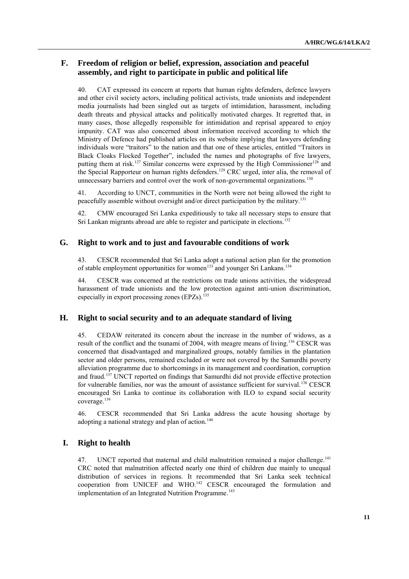#### **F. Freedom of religion or belief, expression, association and peaceful assembly, and right to participate in public and political life**

40. CAT expressed its concern at reports that human rights defenders, defence lawyers and other civil society actors, including political activists, trade unionists and independent media journalists had been singled out as targets of intimidation, harassment, including death threats and physical attacks and politically motivated charges. It regretted that, in many cases, those allegedly responsible for intimidation and reprisal appeared to enjoy impunity. CAT was also concerned about information received according to which the Ministry of Defence had published articles on its website implying that lawyers defending individuals were "traitors" to the nation and that one of these articles, entitled "Traitors in Black Cloaks Flocked Together", included the names and photographs of five lawyers, putting them at risk.<sup>127</sup> Similar concerns were expressed by the High Commissioner<sup>128</sup> and the Special Rapporteur on human rights defenders.<sup>129</sup> CRC urged, inter alia, the removal of unnecessary barriers and control over the work of non-governmental organizations.<sup>130</sup>

41. According to UNCT, communities in the North were not being allowed the right to peacefully assemble without oversight and/or direct participation by the military.<sup>131</sup>

42. CMW encouraged Sri Lanka expeditiously to take all necessary steps to ensure that Sri Lankan migrants abroad are able to register and participate in elections.<sup>132</sup>

#### **G. Right to work and to just and favourable conditions of work**

43. CESCR recommended that Sri Lanka adopt a national action plan for the promotion of stable employment opportunities for women<sup>133</sup> and younger Sri Lankans.<sup>134</sup>

44. CESCR was concerned at the restrictions on trade unions activities, the widespread harassment of trade unionists and the low protection against anti-union discrimination, especially in export processing zones  $E\left( PZs\right)$ .<sup>135</sup>

#### **H. Right to social security and to an adequate standard of living**

45. CEDAW reiterated its concern about the increase in the number of widows, as a result of the conflict and the tsunami of 2004, with meagre means of living.<sup>136</sup> CESCR was concerned that disadvantaged and marginalized groups, notably families in the plantation sector and older persons, remained excluded or were not covered by the Samurdhi poverty alleviation programme due to shortcomings in its management and coordination, corruption and fraud. <sup>137</sup> UNCT reported on findings that Samurdhi did not provide effective protection for vulnerable families, nor was the amount of assistance sufficient for survival.<sup>138</sup> CESCR encouraged Sri Lanka to continue its collaboration with ILO to expand social security coverage.<sup>139</sup>

46. CESCR recommended that Sri Lanka address the acute housing shortage by adopting a national strategy and plan of action.<sup>140</sup>

#### **I. Right to health**

47. UNCT reported that maternal and child malnutrition remained a major challenge.<sup>141</sup> CRC noted that malnutrition affected nearly one third of children due mainly to unequal distribution of services in regions. It recommended that Sri Lanka seek technical cooperation from UNICEF and WHO.<sup>142</sup> CESCR encouraged the formulation and implementation of an Integrated Nutrition Programme.<sup>143</sup>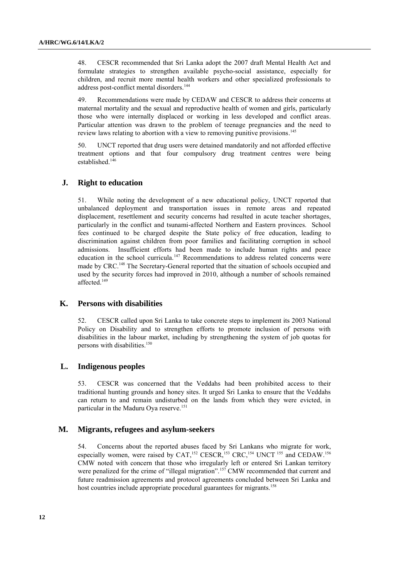48. CESCR recommended that Sri Lanka adopt the 2007 draft Mental Health Act and formulate strategies to strengthen available psycho-social assistance, especially for children, and recruit more mental health workers and other specialized professionals to address post-conflict mental disorders.<sup>144</sup>

49. Recommendations were made by CEDAW and CESCR to address their concerns at maternal mortality and the sexual and reproductive health of women and girls, particularly those who were internally displaced or working in less developed and conflict areas. Particular attention was drawn to the problem of teenage pregnancies and the need to review laws relating to abortion with a view to removing punitive provisions.<sup>145</sup>

50. UNCT reported that drug users were detained mandatorily and not afforded effective treatment options and that four compulsory drug treatment centres were being established.<sup>146</sup>

#### **J. Right to education**

51. While noting the development of a new educational policy, UNCT reported that unbalanced deployment and transportation issues in remote areas and repeated displacement, resettlement and security concerns had resulted in acute teacher shortages, particularly in the conflict and tsunami-affected Northern and Eastern provinces. School fees continued to be charged despite the State policy of free education, leading to discrimination against children from poor families and facilitating corruption in school admissions. Insufficient efforts had been made to include human rights and peace education in the school curricula.<sup>147</sup> Recommendations to address related concerns were made by CRC.<sup>148</sup> The Secretary-General reported that the situation of schools occupied and used by the security forces had improved in 2010, although a number of schools remained affected.<sup>149</sup>

#### **K. Persons with disabilities**

52. CESCR called upon Sri Lanka to take concrete steps to implement its 2003 National Policy on Disability and to strengthen efforts to promote inclusion of persons with disabilities in the labour market, including by strengthening the system of job quotas for persons with disabilities.<sup>150</sup>

#### **L. Indigenous peoples**

53. CESCR was concerned that the Veddahs had been prohibited access to their traditional hunting grounds and honey sites. It urged Sri Lanka to ensure that the Veddahs can return to and remain undisturbed on the lands from which they were evicted, in particular in the Maduru Oya reserve. 151

#### **M. Migrants, refugees and asylum-seekers**

54. Concerns about the reported abuses faced by Sri Lankans who migrate for work, especially women, were raised by CAT,<sup>152</sup> CESCR,<sup>153</sup> CRC,<sup>154</sup> UNCT<sup>155</sup> and CEDAW.<sup>156</sup> CMW noted with concern that those who irregularly left or entered Sri Lankan territory were penalized for the crime of "illegal migration".<sup>157</sup> CMW recommended that current and future readmission agreements and protocol agreements concluded between Sri Lanka and host countries include appropriate procedural guarantees for migrants.<sup>158</sup>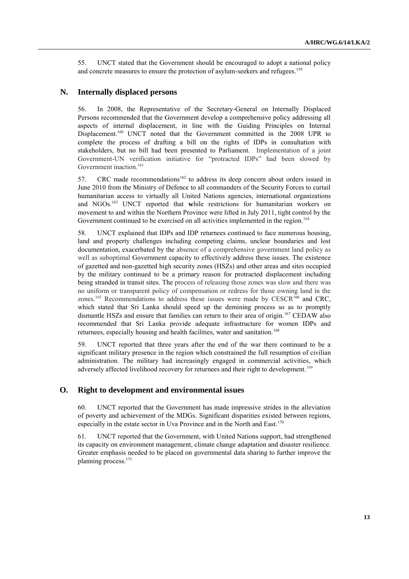55. UNCT stated that the Government should be encouraged to adopt a national policy and concrete measures to ensure the protection of asylum-seekers and refugees.<sup>159</sup>

#### **N. Internally displaced persons**

56. In 2008, the Representative of the Secretary-General on Internally Displaced Persons recommended that the Government develop a comprehensive policy addressing all aspects of internal displacement, in line with the Guiding Principles on Internal Displacement.<sup>160</sup> UNCT noted that the Government committed in the 2008 UPR to complete the process of drafting a bill on the rights of IDPs in consultation with stakeholders, but no bill had been presented to Parliament. Implementation of a joint Government-UN verification initiative for "protracted IDPs" had been slowed by Government inaction.<sup>161</sup>

57. CRC made recommendations<sup>162</sup> to address its deep concern about orders issued in June 2010 from the Ministry of Defence to all commanders of the Security Forces to curtail humanitarian access to virtually all United Nations agencies, international organizations and NGOs. <sup>163</sup> UNCT reported that **w**hile restrictions for humanitarian workers on movement to and within the Northern Province were lifted in July 2011, tight control by the Government continued to be exercised on all activities implemented in the region.<sup>164</sup>

58. UNCT explained that IDPs and IDP returnees continued to face numerous housing, land and property challenges including competing claims, unclear boundaries and lost documentation, exacerbated by the absence of a comprehensive government land policy as well as suboptimal Government capacity to effectively address these issues. The existence of gazetted and non-gazetted high security zones (HSZs) and other areas and sites occupied by the military continued to be a primary reason for protracted displacement including being stranded in transit sites. The process of releasing those zones was slow and there was no uniform or transparent policy of compensation or redress for those owning land in the zones.<sup>165</sup> Recommendations to address these issues were made by CESCR<sup>166</sup> and CRC, which stated that Sri Lanka should speed up the demining process so as to promptly dismantle HSZs and ensure that families can return to their area of origin.<sup>167</sup> CEDAW also recommended that Sri Lanka provide adequate infrastructure for women IDPs and returnees, especially housing and health facilities, water and sanitation.<sup>168</sup>

59. UNCT reported that three years after the end of the war there continued to be a significant military presence in the region which constrained the full resumption of civilian administration. The military had increasingly engaged in commercial activities, which adversely affected livelihood recovery for returnees and their right to development.<sup>169</sup>

#### **O. Right to development and environmental issues**

60. UNCT reported that the Government has made impressive strides in the alleviation of poverty and achievement of the MDGs. Significant disparities existed between regions, especially in the estate sector in Uva Province and in the North and East.<sup>170</sup>

61. UNCT reported that the Government, with United Nations support, had strengthened its capacity on environment management, climate change adaptation and disaster resilience. Greater emphasis needed to be placed on governmental data sharing to further improve the planning process.171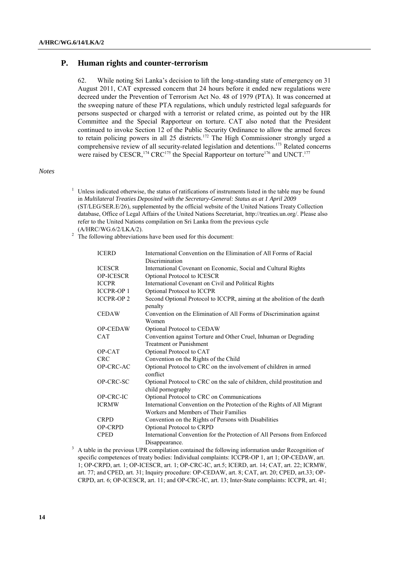#### **P. Human rights and counter-terrorism**

62. While noting Sri Lanka's decision to lift the long-standing state of emergency on 31 August 2011, CAT expressed concern that 24 hours before it ended new regulations were decreed under the Prevention of Terrorism Act No. 48 of 1979 (PTA). It was concerned at the sweeping nature of these PTA regulations, which unduly restricted legal safeguards for persons suspected or charged with a terrorist or related crime, as pointed out by the HR Committee and the Special Rapporteur on torture. CAT also noted that the President continued to invoke Section 12 of the Public Security Ordinance to allow the armed forces to retain policing powers in all 25 districts.<sup>172</sup> The High Commissioner strongly urged a comprehensive review of all security-related legislation and detentions.<sup>173</sup> Related concerns were raised by CESCR,<sup>174</sup> CRC<sup>175</sup> the Special Rapporteur on torture<sup>176</sup> and UNCT.<sup>177</sup>

#### *Notes*

- Unless indicated otherwise, the status of ratifications of instruments listed in the table may be found in *Multilateral Treaties Deposited with the Secretary-General: Status as at 1 April 2009* (ST/LEG/SER.E/26), supplemented by the official website of the United Nations Treaty Collection database, Office of Legal Affairs of the United Nations Secretariat, [http://treaties.un.org/.](http://treaties.un.org/) Please also refer to the United Nations compilation on Sri Lanka from the previous cycle (A/HRC/WG.6/2/LKA/2).
- <sup>2</sup> The following abbreviations have been used for this document:

| <b>ICERD</b>     | International Convention on the Elimination of All Forms of Racial                            |
|------------------|-----------------------------------------------------------------------------------------------|
|                  | Discrimination                                                                                |
| <b>ICESCR</b>    | International Covenant on Economic, Social and Cultural Rights                                |
| <b>OP-ICESCR</b> | Optional Protocol to ICESCR                                                                   |
| <b>ICCPR</b>     | International Covenant on Civil and Political Rights                                          |
| <b>ICCPR-OP1</b> | Optional Protocol to ICCPR                                                                    |
| <b>ICCPR-OP2</b> | Second Optional Protocol to ICCPR, aiming at the abolition of the death<br>penalty            |
| <b>CEDAW</b>     | Convention on the Elimination of All Forms of Discrimination against<br>Women                 |
| <b>OP-CEDAW</b>  | Optional Protocol to CEDAW                                                                    |
| <b>CAT</b>       | Convention against Torture and Other Cruel, Inhuman or Degrading                              |
|                  | <b>Treatment or Punishment</b>                                                                |
| OP-CAT           | Optional Protocol to CAT                                                                      |
| <b>CRC</b>       | Convention on the Rights of the Child                                                         |
| OP-CRC-AC        | Optional Protocol to CRC on the involvement of children in armed<br>conflict                  |
| OP-CRC-SC        | Optional Protocol to CRC on the sale of children, child prostitution and<br>child pornography |
| OP-CRC-IC        | Optional Protocol to CRC on Communications                                                    |
| <b>ICRMW</b>     | International Convention on the Protection of the Rights of All Migrant                       |
|                  | Workers and Members of Their Families                                                         |
| <b>CRPD</b>      | Convention on the Rights of Persons with Disabilities                                         |
| <b>OP-CRPD</b>   | Optional Protocol to CRPD                                                                     |
| <b>CPED</b>      | International Convention for the Protection of All Persons from Enforced                      |
|                  | Disappearance.                                                                                |

<sup>3</sup> A table in the previous UPR compilation contained the following information under Recognition of specific competences of treaty bodies: Individual complaints: ICCPR-OP 1, art 1; OP-CEDAW, art. 1; OP-CRPD, art. 1; OP-ICESCR, art. 1; OP-CRC-IC, art.5; ICERD, art. 14; CAT, art. 22; ICRMW, art. 77; and CPED, art. 31; Inquiry procedure: OP-CEDAW, art. 8; CAT, art. 20; CPED, art.33; OP-CRPD, art. 6; OP-ICESCR, art. 11; and OP-CRC-IC, art. 13; Inter-State complaints: ICCPR, art. 41;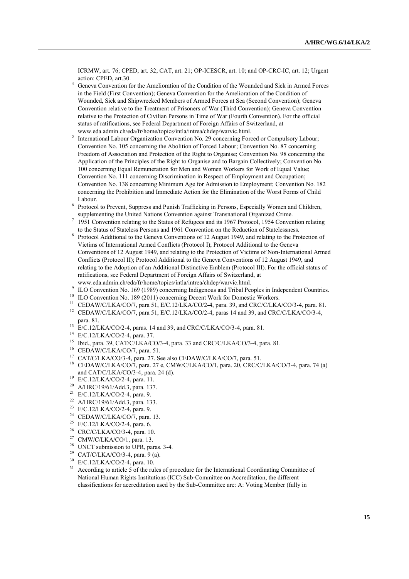ICRMW, art. 76; CPED, art. 32; CAT, art. 21; OP-ICESCR, art. 10; and OP-CRC-IC, art. 12; Urgent action: CPED, art.30.

- <sup>4</sup> Geneva Convention for the Amelioration of the Condition of the Wounded and Sick in Armed Forces in the Field (First Convention); Geneva Convention for the Amelioration of the Condition of Wounded, Sick and Shipwrecked Members of Armed Forces at Sea (Second Convention); Geneva Convention relative to the Treatment of Prisoners of War (Third Convention); Geneva Convention relative to the Protection of Civilian Persons in Time of War (Fourth Convention). For the official status of ratifications, see Federal Department of Foreign Affairs of Switzerland, at www.eda.admin.ch/eda/fr/home/topics/intla/intrea/chdep/warvic.html.
- <sup>5</sup> International Labour Organization Convention No. 29 concerning Forced or Compulsory Labour; Convention No. 105 concerning the Abolition of Forced Labour; Convention No. 87 concerning Freedom of Association and Protection of the Right to Organise; Convention No. 98 concerning the Application of the Principles of the Right to Organise and to Bargain Collectively; Convention No. 100 concerning Equal Remuneration for Men and Women Workers for Work of Equal Value; Convention No. 111 concerning Discrimination in Respect of Employment and Occupation; Convention No. 138 concerning Minimum Age for Admission to Employment; Convention No. 182 concerning the Prohibition and Immediate Action for the Elimination of the Worst Forms of Child Labour.
- 6 Protocol to Prevent, Suppress and Punish Trafficking in Persons, Especially Women and Children, supplementing the United Nations Convention against Transnational Organized Crime.
- 7 1951 Convention relating to the Status of Refugees and its 1967 Protocol, 1954 Convention relating to the Status of Stateless Persons and 1961 Convention on the Reduction of Statelessness.
- <sup>8</sup> Protocol Additional to the Geneva Conventions of 12 August 1949, and relating to the Protection of Victims of International Armed Conflicts (Protocol I); Protocol Additional to the Geneva Conventions of 12 August 1949, and relating to the Protection of Victims of Non-International Armed Conflicts (Protocol II); Protocol Additional to the Geneva Conventions of 12 August 1949, and relating to the Adoption of an Additional Distinctive Emblem (Protocol III). For the official status of ratifications, see Federal Department of Foreign Affairs of Switzerland, at www.eda.admin.ch/eda/fr/home/topics/intla/intrea/chdep/warvic.html.
- 9 ILO Convention No. 169 (1989) concerning Indigenous and Tribal Peoples in Independent Countries.
- <sup>10</sup> ILO Convention No. 189 (2011) concerning Decent Work for Domestic Workers.
- <sup>11</sup> CEDAW/C/LKA/CO/7, para 51, E/C.12/LKA/CO/2-4, para. 39, and CRC/C/LKA/CO/3-4, para. 81.
- <sup>12</sup> CEDAW/C/LKA/CO/7, para 51, E/C.12/LKA/CO/2-4, paras 14 and 39, and CRC/C/LKA/CO/3-4, para. 81.
- <sup>13</sup> E/C.12/LKA/CO/2-4, paras. 14 and 39, and CRC/C/LKA/CO/3-4, para. 81.
- <sup>14</sup> E/C.12/LKA/CO/2-4, para. 37.
- <sup>15</sup> Ibid., para. 39, CAT/C/LKA/CO/3-4, para. 33 and CRC/C/LKA/CO/3-4, para. 81.
- <sup>16</sup> CEDAW/C/LKA/CO/7, para. 51.
- <sup>17</sup> CAT/C/LKA/CO/3-4, para. 27. See also CEDAW/C/LKA/CO/7, para. 51.
- <sup>18</sup> CEDAW/C/LKA/CO/7, para. 27 e, CMW/C/LKA/CO/1, para. 20, CRC/C/LKA/CO/3-4, para. 74 (a) and CAT/C/LKA/CO/3-4, para. 24 (d).
- <sup>19</sup> E/C.12/LKA/CO/2-4, para. 11.<br><sup>20</sup> A/HPC/19/61/Add 3, para. 137
- A/HRC/19/61/Add.3, para. 137.
- <sup>21</sup> E/C.12/LKA/CO/2-4, para. 9.
- <sup>22</sup> A/HRC/19/61/Add.3, para. 133.
- <sup>23</sup> E/C.12/LKA/CO/2-4, para. 9.
- <sup>24</sup> CEDAW/C/LKA/CO/7, para. 13.
- <sup>25</sup> E/C.12/LKA/CO/2-4, para. 6.
- <sup>26</sup> CRC/C/LKA/CO/3-4, para. 10.
- <sup>27</sup> CMW/C/LKA/CO/1, para. 13.
- <sup>28</sup> UNCT submission to UPR, paras. 3-4.
- <sup>29</sup> CAT/C/LKA/CO/3-4, para. 9 (a).
- <sup>30</sup> E/C.12/LKA/CO/2-4, para. 10.
- <sup>31</sup> According to article 5 of the rules of procedure for the International Coordinating Committee of National Human Rights Institutions (ICC) Sub-Committee on Accreditation, the different classifications for accreditation used by the Sub-Committee are: A: Voting Member (fully in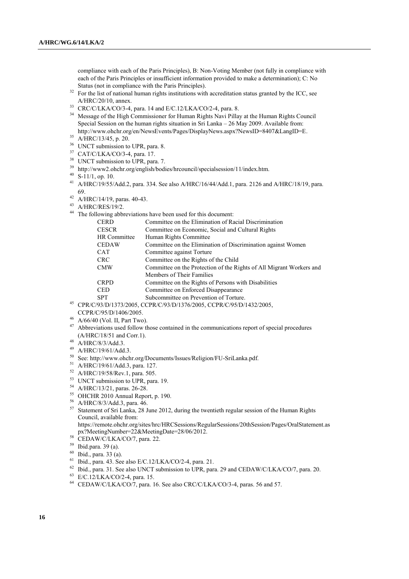compliance with each of the Paris Principles), B: Non-Voting Member (not fully in compliance with each of the Paris Principles or insufficient information provided to make a determination); C: No Status (not in compliance with the Paris Principles).

- <sup>32</sup> For the list of national human rights institutions with accreditation status granted by the ICC, see A/HRC/20/10, annex.
- <sup>33</sup> CRC/C/LKA/CO/3-4, para. 14 and E/C.12/LKA/CO/2-4, para. 8.
- <sup>34</sup> Message of the High Commissioner for Human Rights Navi Pillay at the Human Rights Council Special Session on the human rights situation in Sri Lanka – 26 May 2009. Available from: [http://www.ohchr.org/en/NewsEvents/Pages/DisplayNews.aspx?NewsID=8407&LangID=E.](http://www.ohchr.org/en/NewsEvents/Pages/DisplayNews.aspx?NewsID=8407&LangID=E)
- <sup>35</sup> A/HRC/13/45, p. 20.
- <sup>36</sup> UNCT submission to UPR, para. 8.
- <sup>37</sup> CAT/C/LKA/CO/3-4, para. 17.
- <sup>38</sup> UNCT submission to UPR, para. 7.
- <sup>39</sup> http://www2.ohchr.org/english/bodies/hrcouncil/specialsession/11/index.htm.
- $40$  S-11/1, op. 10.
- <sup>41</sup> A/HRC/19/55/Add.2, para. 334. See also A/HRC/16/44/Add.1, para. 2126 and A/HRC/18/19, para. 69.
- <sup>42</sup> A/HRC/14/19, paras. 40-43.
- <sup>43</sup> A/HRC/RES/19/2.
- <sup>44</sup> The following abbreviations have been used for this document:

| <b>CERD</b>  | Committee on the Elimination of Racial Discrimination                |
|--------------|----------------------------------------------------------------------|
| <b>CESCR</b> | Committee on Economic, Social and Cultural Rights                    |
| HR Committee | Human Rights Committee                                               |
| <b>CEDAW</b> | Committee on the Elimination of Discrimination against Women         |
| <b>CAT</b>   | Committee against Torture                                            |
| <b>CRC</b>   | Committee on the Rights of the Child                                 |
| <b>CMW</b>   | Committee on the Protection of the Rights of All Migrant Workers and |
|              | Members of Their Families                                            |
| <b>CRPD</b>  | Committee on the Rights of Persons with Disabilities                 |
| <b>CED</b>   | Committee on Enforced Disappearance                                  |
| <b>SPT</b>   | Subcommittee on Prevention of Torture.                               |

- <sup>45</sup> CPR/C/93/D/1373/2005, CCPR/C/93/D/1376/2005, CCPR/C/95/D/1432/2005, CCPR/C/95/D/1406/2005.
- <sup>46</sup> A/66/40 (Vol. II, Part Two).
- <sup>47</sup> Abbreviations used follow those contained in the communications report of special procedures (A/HRC/18/51 and Corr.1).
- <sup>48</sup> A/HRC/8/3/Add.3.
- <sup>49</sup> A/HRC/19/61/Add.3.
- <sup>50</sup> See: http://www.ohchr.org/Documents/Issues/Religion/FU-SriLanka.pdf.
- <sup>51</sup> A/HRC/19/61/Add.3, para. 127.
- <sup>52</sup> A/HRC/19/58/Rev.1, para. 505.
- <sup>53</sup> UNCT submission to UPR, para. 19.
- <sup>54</sup> A/HRC/13/21, paras. 26-28.
- <sup>55</sup> OHCHR 2010 Annual Report, p. 190.
- <sup>56</sup> A/HRC/8/3/Add.3, para. 46.
- <sup>57</sup> Statement of Sri Lanka, 28 June 2012, during the twentieth regular session of the Human Rights Council, available from:
	- https://remote.ohchr.org/sites/hrc/HRCSessions/RegularSessions/20thSession/Pages/OralStatement.as px?MeetingNumber=22&MeetingDate=28/06/2012.
- 58 CEDAW/C/LKA/CO/7, para. 22.
- <sup>59</sup> Ibid.para. 39 (a).
- <sup>60</sup> Ibid., para. 33 (a).
- <sup>61</sup> Ibid., para. 43. See also E/C.12/LKA/CO/2-4, para. 21.
- <sup>62</sup> Ibid., para. 31. See also UNCT submission to UPR, para. 29 and CEDAW/C/LKA/CO/7, para. 20.
- <sup>63</sup> E/C.12/LKA/CO/2-4, para. 15.
- <sup>64</sup> CEDAW/C/LKA/CO/7, para. 16. See also CRC/C/LKA/CO/3-4, paras. 56 and 57.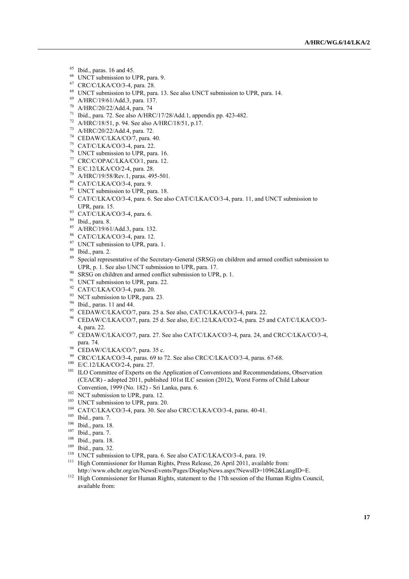- $65$  Ibid., paras. 16 and 45.
- <sup>66</sup> UNCT submission to UPR, para. 9.
- <sup>67</sup> CRC/C/LKA/CO/3-4, para. 28.
- <sup>68</sup> UNCT submission to UPR, para. 13. See also UNCT submission to UPR, para. 14.
- <sup>69</sup> A/HRC/19/61/Add.3, para. 137.
- <sup>70</sup> A/HRC/20/22/Add.4, para. 74
- <sup>71</sup> Ibid., para. 72. See also A/HRC/17/28/Add.1, appendix pp. 423-482.
- <sup>72</sup> A/HRC/18/51, p. 94. See also A/HRC/18/51, p.17.
- <sup>73</sup> A/HRC/20/22/Add.4, para. 72.
- <sup>74</sup> CEDAW/C/LKA/CO/7, para. 40.
- <sup>75</sup> CAT/C/LKA/CO/3-4, para. 22.
- <sup>76</sup> UNCT submission to UPR, para. 16.
- <sup>77</sup> CRC/C/OPAC/LKA/CO/1, para. 12.
- <sup>78</sup> E/C.12/LKA/CO/2-4, para. 28.
- <sup>79</sup> A/HRC/19/58/Rev.1, paras. 495-501.
- <sup>80</sup> CAT/C/LKA/CO/3-4, para. 9.
- <sup>81</sup> UNCT submission to UPR, para. 18.
- <sup>82</sup> CAT/C/LKA/CO/3-4, para. 6. See also CAT/C/LKA/CO/3-4, para. 11, and UNCT submission to UPR, para. 15.
- <sup>83</sup> CAT/C/LKA/CO/3-4, para. 6.
- <sup>84</sup> Ibid., para. 8.
- <sup>85</sup> A/HRC/19/61/Add.3, para. 132.
- <sup>86</sup> CAT/C/LKA/CO/3-4, para. 12.
- <sup>87</sup> UNCT submission to UPR, para. 1.
- <sup>88</sup> Ibid., para. 2.
- <sup>89</sup> Special representative of the Secretary-General (SRSG) on children and armed conflict submission to UPR, p. 1. See also UNCT submission to UPR, para. 17.
- $90$  SRSG on children and armed conflict submission to UPR, p. 1.
- <sup>91</sup> UNCT submission to UPR, para. 22.
- <sup>92</sup> CAT/C/LKA/CO/3-4, para. 20.
- <sup>93</sup> NCT submission to UPR, para. 23.
- <sup>94</sup> Ibid., paras. 11 and 44.
- <sup>95</sup> CEDAW/C/LKA/CO/7, para. 25 a. See also, CAT/C/LKA/CO/3-4, para. 22.
- <sup>96</sup> CEDAW/C/LKA/CO/7, para. 25 d. See also, E/C.12/LKA/CO/2-4, para. 25 and CAT/C/LKA/CO/3- 4, para. 22.
- <sup>97</sup> CEDAW/C/LKA/CO/7, para. 27. See also CAT/C/LKA/CO/3-4, para. 24, and CRC/C/LKA/CO/3-4, para. 74.
- 98 CEDAW/C/LKA/CO/7, para. 35 c.
- <sup>99</sup> CRC/C/LKA/CO/3-4, paras. 69 to 72. See also CRC/C/LKA/CO/3-4, paras. 67-68.
- <sup>100</sup> E/C.12/LKA/CO/2-4, para. 27.
- <sup>101</sup> ILO Committee of Experts on the Application of Conventions and Recommendations, Observation (CEACR) - adopted 2011, published 101st ILC session (2012)[, Worst Forms of Child Labour](http://www.ilo.org/dyn/normlex/en/f?p=NORMLEXPUB:12100:1109766756006430::NO:12100:P12100_INSTRUMENT_ID:312327:NO)  [Convention, 1999 \(No. 182\)](http://www.ilo.org/dyn/normlex/en/f?p=NORMLEXPUB:12100:1109766756006430::NO:12100:P12100_INSTRUMENT_ID:312327:NO) - Sri Lanka, para. 6.
- <sup>102</sup> NCT submission to UPR, para. 12.
- <sup>103</sup> UNCT submission to UPR, para. 20.
- <sup>104</sup> CAT/C/LKA/CO/3-4, para. 30. See also CRC/C/LKA/CO/3-4, paras. 40-41.
- <sup>105</sup> Ibid., para. 7.
- $\frac{106}{107}$  Ibid., para. 18.
- Ibid., para. 7.
- <sup>108</sup> Ibid., para. 18.
- <sup>109</sup> Ibid., para. 32.
- <sup>110</sup> UNCT submission to UPR, para. 6. See also CAT/C/LKA/CO/3-4, para. 19.
- <sup>111</sup> High Commissioner for Human Rights, Press Release, 26 April 2011, available from: http://www.ohchr.org/en/NewsEvents/Pages/DisplayNews.aspx?NewsID=10962&LangID=E.
- <sup>112</sup> High Commissioner for Human Rights, statement to the 17th session of the Human Rights Council, available from: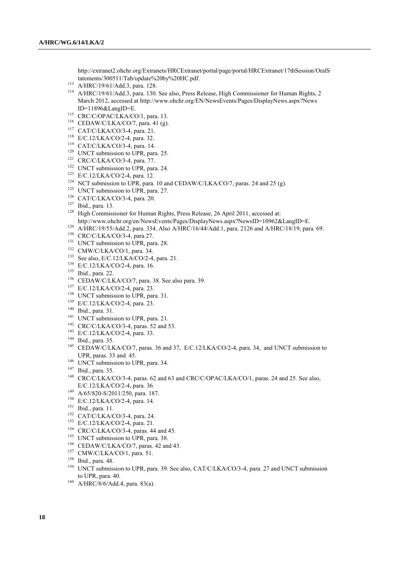http://extranet2.ohchr.org/Extranets/HRCExtranet/portal/page/portal/HRCExtranet/17thSession/OralS tatements/300511/Tab/update%20by%20HC.pdf.

- <sup>113</sup> A/HRC/19/61/Add.3, para. 128.
- <sup>114</sup> A/HRC/19/61/Add.3, para. 130. See also, Press Release, High Commissioner for Human Rights, 2 March 2012, accessed at<http://www.ohchr.org/EN/NewsEvents/Pages/DisplayNews.aspx?News> ID=11896&LangID=E.
- <sup>115</sup> CRC/C/OPAC/LKA/CO/1, para. 13.
- <sup>116</sup> CEDAW/C/LKA/CO/7, para. 41 (g).
- <sup>117</sup> CAT/C/LKA/CO/3-4, para. 21.
- <sup>118</sup> E/C.12/LKA/CO/2-4, para. 32.
- <sup>119</sup> CAT/C/LKA/CO/3-4, para. 14.
- <sup>120</sup> UNCT submission to UPR, para. 25.
- <sup>121</sup> CRC/C/LKA/CO/3-4, para. 77.
- <sup>122</sup> UNCT submission to UPR, para. 24.
- <sup>123</sup> E/C.12/LKA/CO/2-4, para. 12.
- <sup>124</sup> NCT submission to UPR, para. 10 and CEDAW/C/LKA/CO/7, paras. 24 and 25 (g).
- <sup>125</sup> UNCT submission to UPR, para. 27.
- <sup>126</sup> CAT/C/LKA/CO/3-4, para. 20.
- <sup>127</sup> Ibid., para. 13.
- <sup>128</sup> High Commissioner for Human Rights, Press Release, 26 April 2011, accessed at: http://www.ohchr.org/en/NewsEvents/Pages/DisplayNews.aspx?NewsID=10962&LangID=E.
- <sup>129</sup> A/HRC/19/55/Add.2, para. 334. Also A/HRC/16/44/Add.1, para. 2126 and A/HRC/18/19, para. 69.
- <sup>130</sup> CRC/C/LKA/CO/3-4, para 27.
- <sup>131</sup> UNCT submission to UPR, para. 28.
- <sup>132</sup> CMW/C/LKA/CO/1, para. 34.
- <sup>133</sup> See also, E/C.12/LKA/CO/2-4, para. 21.
- <sup>134</sup> E/C.12/LKA/CO/2-4, para. 16.
- <sup>135</sup> Ibid., para. 22.
- <sup>136</sup> CEDAW/C/LKA/CO/7, para. 38. See also para. 39.
- <sup>137</sup> E/C.12/LKA/CO/2-4, para. 23.
- <sup>138</sup> UNCT submission to UPR, para. 31.
- <sup>139</sup> E/C.12/LKA/CO/2-4, para. 23.
- <sup>140</sup> Ibid., para. 31.
- <sup>141</sup> UNCT submission to UPR, para. 21.
- <sup>142</sup> CRC/C/LKA/CO/3-4, paras. 52 and 53.
- <sup>143</sup> E/C.12/LKA/CO/2-4, para. 33.
- <sup>144</sup> Ibid., para. 35.
- <sup>145</sup> CEDAW/C/LKA/CO/7, paras. 36 and 37, E/C.12/LKA/CO/2-4, para. 34, and UNCT submission to UPR, paras. 33 and 45.
- <sup>146</sup> UNCT submission to UPR, para. 34.
- <sup>147</sup> Ibid., para. 35.
- <sup>148</sup> CRC/C/LKA/CO/3-4, paras. 62 and 63 and CRC/C/OPAC/LKA/CO/1, paras. 24 and 25. See also, E/C.12/LKA/CO/2-4, para. 36.
- <sup>149</sup> A/65/820-S/2011/250, para. 187.
- <sup>150</sup> E/C.12/LKA/CO/2-4, para. 14.
- <sup>151</sup> Ibid., para. 11.
- <sup>152</sup> CAT/C/LKA/CO/3-4, para. 24.
- <sup>153</sup> E/C.12/LKA/CO/2-4, para. 21.
- <sup>154</sup> CRC/C/LKA/CO/3-4, paras. 44 and 45.
- <sup>155</sup> UNCT submission to UPR, para. 38.
- <sup>156</sup> CEDAW/C/LKA/CO/7, paras. 42 and 43.
- <sup>157</sup> CMW/C/LKA/CO/1, para. 51.
- <sup>158</sup> Ibid., para. 48.
- <sup>159</sup> UNCT submission to UPR, para. 39. See also, CAT/C/LKA/CO/3-4, para. 27 and UNCT submission to UPR, para. 40.
- <sup>160</sup> A/HRC/8/6/Add.4, para. 83(a).